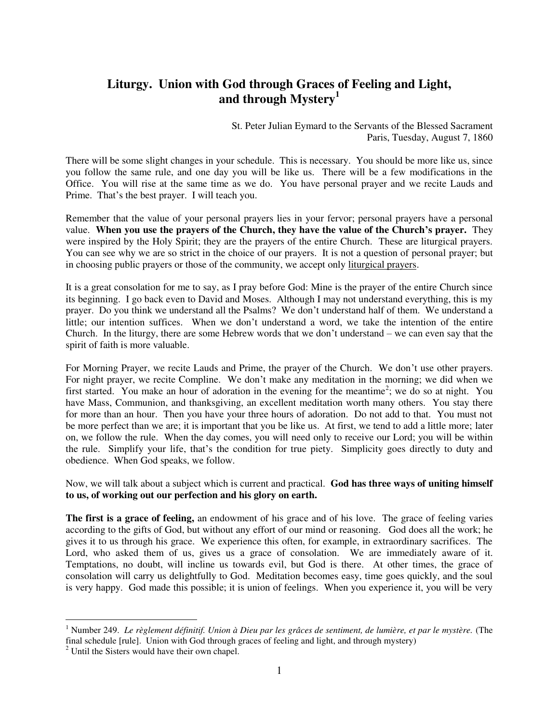## **Liturgy. Union with God through Graces of Feeling and Light, and through Mystery<sup>1</sup>**

St. Peter Julian Eymard to the Servants of the Blessed Sacrament Paris, Tuesday, August 7, 1860

There will be some slight changes in your schedule. This is necessary. You should be more like us, since you follow the same rule, and one day you will be like us. There will be a few modifications in the Office. You will rise at the same time as we do. You have personal prayer and we recite Lauds and Prime. That's the best prayer. I will teach you.

Remember that the value of your personal prayers lies in your fervor; personal prayers have a personal value. **When you use the prayers of the Church, they have the value of the Church's prayer.** They were inspired by the Holy Spirit; they are the prayers of the entire Church. These are liturgical prayers. You can see why we are so strict in the choice of our prayers. It is not a question of personal prayer; but in choosing public prayers or those of the community, we accept only liturgical prayers.

It is a great consolation for me to say, as I pray before God: Mine is the prayer of the entire Church since its beginning. I go back even to David and Moses. Although I may not understand everything, this is my prayer. Do you think we understand all the Psalms? We don't understand half of them. We understand a little; our intention suffices. When we don't understand a word, we take the intention of the entire Church. In the liturgy, there are some Hebrew words that we don't understand – we can even say that the spirit of faith is more valuable.

For Morning Prayer, we recite Lauds and Prime, the prayer of the Church. We don't use other prayers. For night prayer, we recite Compline. We don't make any meditation in the morning; we did when we first started. You make an hour of adoration in the evening for the meantime<sup>2</sup>; we do so at night. You have Mass, Communion, and thanksgiving, an excellent meditation worth many others. You stay there for more than an hour. Then you have your three hours of adoration. Do not add to that. You must not be more perfect than we are; it is important that you be like us. At first, we tend to add a little more; later on, we follow the rule. When the day comes, you will need only to receive our Lord; you will be within the rule. Simplify your life, that's the condition for true piety. Simplicity goes directly to duty and obedience. When God speaks, we follow.

Now, we will talk about a subject which is current and practical. **God has three ways of uniting himself to us, of working out our perfection and his glory on earth.** 

**The first is a grace of feeling,** an endowment of his grace and of his love. The grace of feeling varies according to the gifts of God, but without any effort of our mind or reasoning. God does all the work; he gives it to us through his grace. We experience this often, for example, in extraordinary sacrifices. The Lord, who asked them of us, gives us a grace of consolation. We are immediately aware of it. Temptations, no doubt, will incline us towards evil, but God is there. At other times, the grace of consolation will carry us delightfully to God. Meditation becomes easy, time goes quickly, and the soul is very happy. God made this possible; it is union of feelings. When you experience it, you will be very

 $\overline{a}$ 

<sup>&</sup>lt;sup>1</sup> Number 249. *Le règlement définitif. Union à Dieu par les grâces de sentiment, de lumière, et par le mystère. (The* final schedule [rule]. Union with God through graces of feeling and light, and through mystery)

<sup>&</sup>lt;sup>2</sup> Until the Sisters would have their own chapel.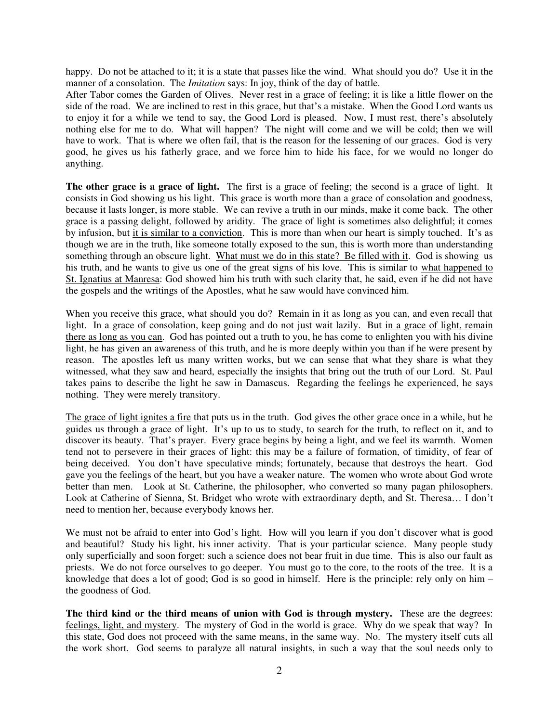happy. Do not be attached to it; it is a state that passes like the wind. What should you do? Use it in the manner of a consolation. The *Imitation* says: In joy, think of the day of battle.

After Tabor comes the Garden of Olives. Never rest in a grace of feeling; it is like a little flower on the side of the road. We are inclined to rest in this grace, but that's a mistake. When the Good Lord wants us to enjoy it for a while we tend to say, the Good Lord is pleased. Now, I must rest, there's absolutely nothing else for me to do. What will happen? The night will come and we will be cold; then we will have to work. That is where we often fail, that is the reason for the lessening of our graces. God is very good, he gives us his fatherly grace, and we force him to hide his face, for we would no longer do anything.

**The other grace is a grace of light.** The first is a grace of feeling; the second is a grace of light. It consists in God showing us his light. This grace is worth more than a grace of consolation and goodness, because it lasts longer, is more stable. We can revive a truth in our minds, make it come back. The other grace is a passing delight, followed by aridity. The grace of light is sometimes also delightful; it comes by infusion, but it is similar to a conviction. This is more than when our heart is simply touched. It's as though we are in the truth, like someone totally exposed to the sun, this is worth more than understanding something through an obscure light. What must we do in this state? Be filled with it. God is showing us his truth, and he wants to give us one of the great signs of his love. This is similar to what happened to St. Ignatius at Manresa: God showed him his truth with such clarity that, he said, even if he did not have the gospels and the writings of the Apostles, what he saw would have convinced him.

When you receive this grace, what should you do? Remain in it as long as you can, and even recall that light. In a grace of consolation, keep going and do not just wait lazily. But in a grace of light, remain there as long as you can. God has pointed out a truth to you, he has come to enlighten you with his divine light, he has given an awareness of this truth, and he is more deeply within you than if he were present by reason. The apostles left us many written works, but we can sense that what they share is what they witnessed, what they saw and heard, especially the insights that bring out the truth of our Lord. St. Paul takes pains to describe the light he saw in Damascus. Regarding the feelings he experienced, he says nothing. They were merely transitory.

The grace of light ignites a fire that puts us in the truth. God gives the other grace once in a while, but he guides us through a grace of light. It's up to us to study, to search for the truth, to reflect on it, and to discover its beauty. That's prayer. Every grace begins by being a light, and we feel its warmth. Women tend not to persevere in their graces of light: this may be a failure of formation, of timidity, of fear of being deceived. You don't have speculative minds; fortunately, because that destroys the heart. God gave you the feelings of the heart, but you have a weaker nature. The women who wrote about God wrote better than men. Look at St. Catherine, the philosopher, who converted so many pagan philosophers. Look at Catherine of Sienna, St. Bridget who wrote with extraordinary depth, and St. Theresa… I don't need to mention her, because everybody knows her.

We must not be afraid to enter into God's light. How will you learn if you don't discover what is good and beautiful? Study his light, his inner activity. That is your particular science. Many people study only superficially and soon forget: such a science does not bear fruit in due time. This is also our fault as priests. We do not force ourselves to go deeper. You must go to the core, to the roots of the tree. It is a knowledge that does a lot of good; God is so good in himself. Here is the principle: rely only on him – the goodness of God.

**The third kind or the third means of union with God is through mystery.** These are the degrees: feelings, light, and mystery. The mystery of God in the world is grace. Why do we speak that way? In this state, God does not proceed with the same means, in the same way. No. The mystery itself cuts all the work short. God seems to paralyze all natural insights, in such a way that the soul needs only to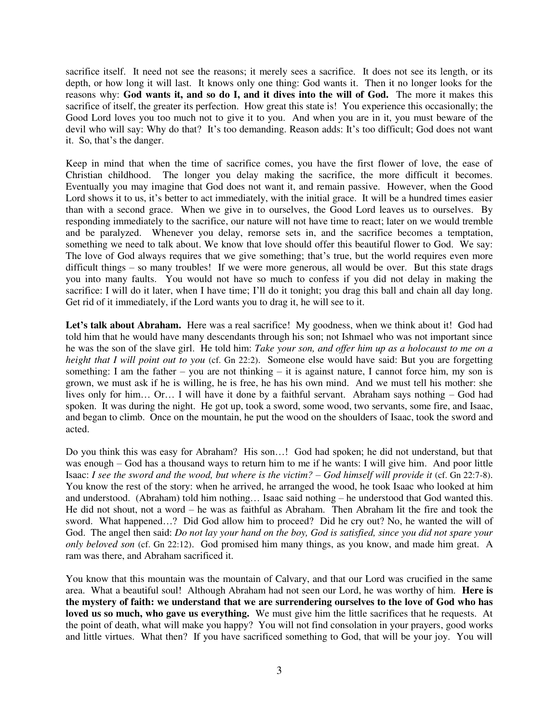sacrifice itself. It need not see the reasons; it merely sees a sacrifice. It does not see its length, or its depth, or how long it will last. It knows only one thing: God wants it. Then it no longer looks for the reasons why: **God wants it, and so do I, and it dives into the will of God.** The more it makes this sacrifice of itself, the greater its perfection. How great this state is! You experience this occasionally; the Good Lord loves you too much not to give it to you. And when you are in it, you must beware of the devil who will say: Why do that? It's too demanding. Reason adds: It's too difficult; God does not want it. So, that's the danger.

Keep in mind that when the time of sacrifice comes, you have the first flower of love, the ease of Christian childhood. The longer you delay making the sacrifice, the more difficult it becomes. Eventually you may imagine that God does not want it, and remain passive. However, when the Good Lord shows it to us, it's better to act immediately, with the initial grace. It will be a hundred times easier than with a second grace. When we give in to ourselves, the Good Lord leaves us to ourselves. By responding immediately to the sacrifice, our nature will not have time to react; later on we would tremble and be paralyzed. Whenever you delay, remorse sets in, and the sacrifice becomes a temptation, something we need to talk about. We know that love should offer this beautiful flower to God. We say: The love of God always requires that we give something; that's true, but the world requires even more difficult things – so many troubles! If we were more generous, all would be over. But this state drags you into many faults. You would not have so much to confess if you did not delay in making the sacrifice: I will do it later, when I have time; I'll do it tonight; you drag this ball and chain all day long. Get rid of it immediately, if the Lord wants you to drag it, he will see to it.

Let's talk about Abraham. Here was a real sacrifice! My goodness, when we think about it! God had told him that he would have many descendants through his son; not Ishmael who was not important since he was the son of the slave girl. He told him: *Take your son, and offer him up as a holocaust to me on a height that I will point out to you* (cf. Gn 22:2). Someone else would have said: But you are forgetting something: I am the father – you are not thinking – it is against nature, I cannot force him, my son is grown, we must ask if he is willing, he is free, he has his own mind. And we must tell his mother: she lives only for him… Or… I will have it done by a faithful servant. Abraham says nothing – God had spoken. It was during the night. He got up, took a sword, some wood, two servants, some fire, and Isaac, and began to climb. Once on the mountain, he put the wood on the shoulders of Isaac, took the sword and acted.

Do you think this was easy for Abraham? His son…! God had spoken; he did not understand, but that was enough – God has a thousand ways to return him to me if he wants: I will give him. And poor little Isaac: *I see the sword and the wood, but where is the victim? – God himself will provide it* (cf. Gn 22:7-8). You know the rest of the story: when he arrived, he arranged the wood, he took Isaac who looked at him and understood. (Abraham) told him nothing… Isaac said nothing – he understood that God wanted this. He did not shout, not a word – he was as faithful as Abraham. Then Abraham lit the fire and took the sword. What happened…? Did God allow him to proceed? Did he cry out? No, he wanted the will of God. The angel then said: *Do not lay your hand on the boy, God is satisfied, since you did not spare your only beloved son* (cf. Gn 22:12). God promised him many things, as you know, and made him great. A ram was there, and Abraham sacrificed it.

You know that this mountain was the mountain of Calvary, and that our Lord was crucified in the same area. What a beautiful soul! Although Abraham had not seen our Lord, he was worthy of him. **Here is the mystery of faith: we understand that we are surrendering ourselves to the love of God who has loved us so much, who gave us everything.** We must give him the little sacrifices that he requests. At the point of death, what will make you happy? You will not find consolation in your prayers, good works and little virtues. What then? If you have sacrificed something to God, that will be your joy. You will